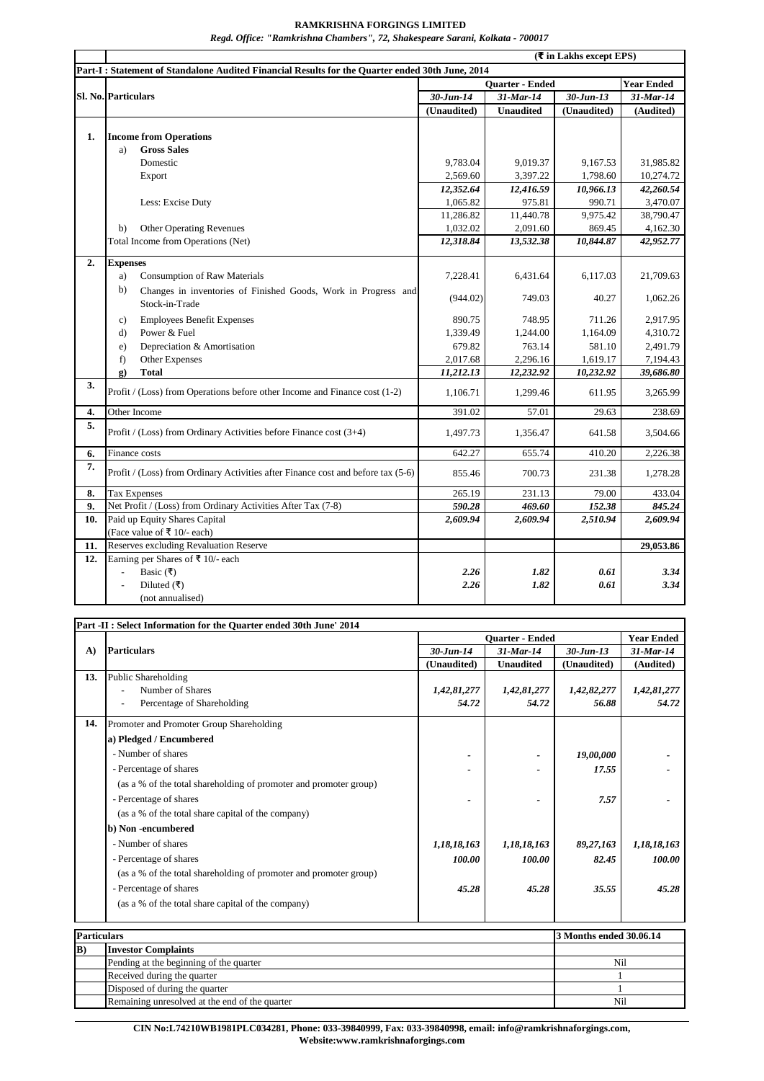## **RAMKRISHNA FORGINGS LIMITED**

*Regd. Office: "Ramkrishna Chambers", 72, Shakespeare Sarani, Kolkata - 700017*

|     | $(\overline{\mathbf{\mathsf{F}}}$ in Lakhs except EPS)                                          |                        |                  |                 |                   |  |  |  |
|-----|-------------------------------------------------------------------------------------------------|------------------------|------------------|-----------------|-------------------|--|--|--|
|     | Part-I: Statement of Standalone Audited Financial Results for the Quarter ended 30th June, 2014 |                        |                  |                 |                   |  |  |  |
|     | Sl. No. Particulars                                                                             | <b>Ouarter - Ended</b> |                  |                 | <b>Year Ended</b> |  |  |  |
|     |                                                                                                 | $30$ -Jun-14           | 31-Mar-14        | $30 - Jun - 13$ | 31-Mar-14         |  |  |  |
|     |                                                                                                 | (Unaudited)            | <b>Unaudited</b> | (Unaudited)     | (Audited)         |  |  |  |
|     |                                                                                                 |                        |                  |                 |                   |  |  |  |
| 1.  | <b>Income from Operations</b>                                                                   |                        |                  |                 |                   |  |  |  |
|     | <b>Gross Sales</b><br>a)                                                                        |                        |                  |                 |                   |  |  |  |
|     | Domestic                                                                                        | 9.783.04               | 9,019.37         | 9,167.53        | 31,985.82         |  |  |  |
|     | Export                                                                                          | 2,569.60               | 3,397.22         | 1,798.60        | 10,274.72         |  |  |  |
|     |                                                                                                 | 12,352.64              | 12,416.59        | 10,966.13       | 42,260.54         |  |  |  |
|     | Less: Excise Duty                                                                               | 1,065.82               | 975.81           | 990.71          | 3,470.07          |  |  |  |
|     |                                                                                                 | 11,286.82              | 11,440.78        | 9,975.42        | 38,790.47         |  |  |  |
|     | Other Operating Revenues<br>b)                                                                  | 1,032.02               | 2,091.60         | 869.45          | 4,162.30          |  |  |  |
|     | Total Income from Operations (Net)                                                              | 12,318.84              | 13,532.38        | 10,844.87       | 42,952.77         |  |  |  |
| 2.  | <b>Expenses</b>                                                                                 |                        |                  |                 |                   |  |  |  |
|     | <b>Consumption of Raw Materials</b><br>a)                                                       | 7,228.41               | 6,431.64         | 6,117.03        | 21,709.63         |  |  |  |
|     | b)<br>Changes in inventories of Finished Goods, Work in Progress and                            |                        |                  |                 |                   |  |  |  |
|     | Stock-in-Trade                                                                                  | (944.02)               | 749.03           | 40.27           | 1,062.26          |  |  |  |
|     | <b>Employees Benefit Expenses</b><br>c)                                                         | 890.75                 | 748.95           | 711.26          | 2,917.95          |  |  |  |
|     | Power & Fuel<br>$\mathbf{d}$                                                                    | 1,339.49               | 1,244.00         | 1,164.09        | 4,310.72          |  |  |  |
|     | Depreciation & Amortisation<br>e)                                                               | 679.82                 | 763.14           | 581.10          | 2,491.79          |  |  |  |
|     | Other Expenses<br>f)                                                                            | 2,017.68               | 2,296.16         | 1,619.17        | 7,194.43          |  |  |  |
|     | <b>Total</b><br>$\mathbf{g}$ )                                                                  | 11,212.13              | 12,232.92        | 10,232.92       | 39,686.80         |  |  |  |
| 3.  | Profit / (Loss) from Operations before other Income and Finance cost (1-2)                      | 1,106.71               | 1,299.46         | 611.95          | 3,265.99          |  |  |  |
| 4.  | Other Income                                                                                    | 391.02                 | 57.01            | 29.63           | 238.69            |  |  |  |
| 5.  | Profit / (Loss) from Ordinary Activities before Finance cost (3+4)                              | 1,497.73               | 1,356.47         | 641.58          | 3,504.66          |  |  |  |
| 6.  | Finance costs                                                                                   | 642.27                 | 655.74           | 410.20          | 2,226.38          |  |  |  |
| 7.  | Profit / (Loss) from Ordinary Activities after Finance cost and before tax (5-6)                | 855.46                 | 700.73           | 231.38          | 1,278.28          |  |  |  |
| 8.  | <b>Tax Expenses</b>                                                                             | 265.19                 | 231.13           | 79.00           | 433.04            |  |  |  |
| 9.  | Net Profit / (Loss) from Ordinary Activities After Tax (7-8)                                    | 590.28                 | 469.60           | 152.38          | 845.24            |  |  |  |
| 10. | Paid up Equity Shares Capital                                                                   | 2,609.94               | 2,609.94         | 2,510.94        | 2,609.94          |  |  |  |
|     | (Face value of ₹ 10/- each)                                                                     |                        |                  |                 |                   |  |  |  |
| 11. | Reserves excluding Revaluation Reserve                                                          |                        |                  |                 | 29,053.86         |  |  |  |
| 12. | Earning per Shares of $\bar{x}$ 10/- each                                                       |                        |                  |                 |                   |  |  |  |
|     | Basic (₹)<br>$\blacksquare$                                                                     | 2.26                   | 1.82             | 0.61            | 3.34              |  |  |  |
|     | Diluted $($ ₹)                                                                                  | 2.26                   | 1.82             | 0.61            | 3.34              |  |  |  |
|     | (not annualised)                                                                                |                        |                  |                 |                   |  |  |  |

| $\mathbf{A}$ | <b>Particulars</b>                                                | <b>Ouarter - Ended</b>         |                                  |                                | <b>Year Ended</b>         |     |
|--------------|-------------------------------------------------------------------|--------------------------------|----------------------------------|--------------------------------|---------------------------|-----|
|              |                                                                   | $30 - Jun - 14$<br>(Unaudited) | $31$ -Mar-14<br><b>Unaudited</b> | $30 - Jun - 13$<br>(Unaudited) | $31$ -Mar-14<br>(Audited) |     |
|              |                                                                   |                                |                                  |                                |                           | 13. |
|              | Number of Shares                                                  | 1,42,81,277                    | 1,42,81,277                      | 1,42,82,277                    | 1,42,81,277               |     |
|              | Percentage of Shareholding                                        | 54.72                          | 54.72                            | 56.88                          | 54.72                     |     |
| 14.          | Promoter and Promoter Group Shareholding                          |                                |                                  |                                |                           |     |
|              | a) Pledged / Encumbered                                           |                                |                                  |                                |                           |     |
|              | - Number of shares                                                |                                |                                  | 19,00,000                      |                           |     |
|              | - Percentage of shares                                            |                                |                                  | 17.55                          |                           |     |
|              | (as a % of the total shareholding of promoter and promoter group) |                                |                                  |                                |                           |     |
|              | - Percentage of shares                                            |                                |                                  | 7.57                           |                           |     |
|              | (as a % of the total share capital of the company)                |                                |                                  |                                |                           |     |
|              | b) Non-encumbered                                                 |                                |                                  |                                |                           |     |
|              | - Number of shares                                                | 1,18,18,163                    | 1,18,18,163                      | 89,27,163                      | 1,18,18,163               |     |
|              | - Percentage of shares                                            | 100.00                         | 100.00                           | 82.45                          | 100.00                    |     |
|              | (as a % of the total shareholding of promoter and promoter group) |                                |                                  |                                |                           |     |
|              | - Percentage of shares                                            | 45.28                          | 45.28                            | 35.55                          | 45.28                     |     |
|              | (as a % of the total share capital of the company)                |                                |                                  |                                |                           |     |
|              |                                                                   |                                |                                  |                                |                           |     |
|              | <b>Particulars</b>                                                |                                |                                  |                                | 3 Months ended 30.06.14   |     |
| B)           | <b>Investor Complaints</b>                                        |                                |                                  |                                |                           |     |
|              | Pending at the beginning of the quarter                           |                                | Nil                              |                                |                           |     |
|              | Received during the quarter                                       |                                |                                  |                                | 1                         |     |

**CIN No:L74210WB1981PLC034281, Phone: 033-39840999, Fax: 033-39840998, email: info@ramkrishnaforgings.com, Website:www.ramkrishnaforgings.com**

Disposed of during the quarter 1 Remaining unresolved at the end of the quarter Nil